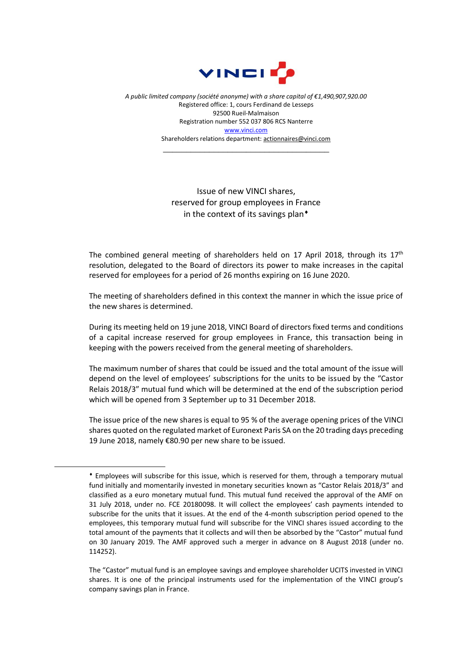

*A public limited company (société anonyme) with a share capital of €1,490,907,920.00* Registered office: 1, cours Ferdinand de Lesseps 92500 Rueil-Malmaison Registration number 552 037 806 RCS Nanterre [www.vinci.com](http://www.vinci.com/) Shareholders relations department: actionnaires@vinci.com

\_\_\_\_\_\_\_\_\_\_\_\_\_\_\_\_\_\_\_\_\_\_\_\_\_\_\_\_\_\_\_\_\_\_\_\_

## Issue of new VINCI shares, reserved for group employees in France in the context of its savings plan<sup>+</sup>

The combined general meeting of shareholders held on 17 April 2018, through its  $17<sup>th</sup>$ resolution, delegated to the Board of directors its power to make increases in the capital reserved for employees for a period of 26 months expiring on 16 June 2020.

The meeting of shareholders defined in this context the manner in which the issue price of the new shares is determined.

During its meeting held on 19 june 2018, VINCI Board of directors fixed terms and conditions of a capital increase reserved for group employees in France, this transaction being in keeping with the powers received from the general meeting of shareholders.

The maximum number of shares that could be issued and the total amount of the issue will depend on the level of employees' subscriptions for the units to be issued by the "Castor Relais 2018/3" mutual fund which will be determined at the end of the subscription period which will be opened from 3 September up to 31 December 2018.

The issue price of the new shares is equal to 95 % of the average opening prices of the VINCI shares quoted on the regulated market of Euronext Paris SA on the 20 trading days preceding 19 June 2018, namely €80.90 per new share to be issued.

 $\overline{a}$ 

Employees will subscribe for this issue, which is reserved for them, through a temporary mutual fund initially and momentarily invested in monetary securities known as "Castor Relais 2018/3" and classified as a euro monetary mutual fund. This mutual fund received the approval of the AMF on 31 July 2018, under no. FCE 20180098. It will collect the employees' cash payments intended to subscribe for the units that it issues. At the end of the 4-month subscription period opened to the employees, this temporary mutual fund will subscribe for the VINCI shares issued according to the total amount of the payments that it collects and will then be absorbed by the "Castor" mutual fund on 30 January 2019. The AMF approved such a merger in advance on 8 August 2018 (under no. 114252).

The "Castor" mutual fund is an employee savings and employee shareholder UCITS invested in VINCI shares. It is one of the principal instruments used for the implementation of the VINCI group's company savings plan in France.